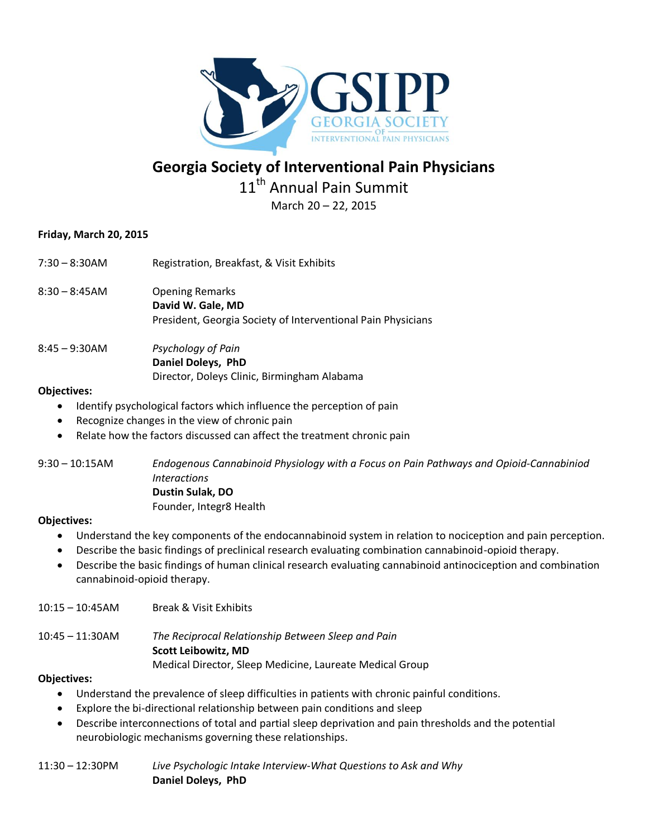

# **Georgia Society of Interventional Pain Physicians** 11<sup>th</sup> Annual Pain Summit

March 20 – 22, 2015

# **Friday, March 20, 2015**

| 7:30 – 8:30AM | Registration, Breakfast, & Visit Exhibits                                                                   |
|---------------|-------------------------------------------------------------------------------------------------------------|
| 8:30 – 8:45AM | <b>Opening Remarks</b><br>David W. Gale, MD<br>President, Georgia Society of Interventional Pain Physicians |
| 8:45 – 9:30AM | Psychology of Pain<br>Daniel Doleys, PhD                                                                    |

## **Objectives:**

- Identify psychological factors which influence the perception of pain
- Recognize changes in the view of chronic pain
- Relate how the factors discussed can affect the treatment chronic pain

Director, Doleys Clinic, Birmingham Alabama

9:30 – 10:15AM *Endogenous Cannabinoid Physiology with a Focus on Pain Pathways and Opioid-Cannabiniod Interactions* **Dustin Sulak, DO** Founder, Integr8 Health

## **Objectives:**

- Understand the key components of the endocannabinoid system in relation to nociception and pain perception.
- Describe the basic findings of preclinical research evaluating combination cannabinoid-opioid therapy.
- Describe the basic findings of human clinical research evaluating cannabinoid antinociception and combination cannabinoid-opioid therapy.
- 10:15 10:45AM Break & Visit Exhibits

10:45 – 11:30AM *The Reciprocal Relationship Between Sleep and Pain* **Scott Leibowitz, MD**

Medical Director, Sleep Medicine, Laureate Medical Group

## **Objectives:**

- Understand the prevalence of sleep difficulties in patients with chronic painful conditions.
- Explore the bi-directional relationship between pain conditions and sleep
- Describe interconnections of total and partial sleep deprivation and pain thresholds and the potential neurobiologic mechanisms governing these relationships.

11:30 – 12:30PM *Live Psychologic Intake Interview-What Questions to Ask and Why* **Daniel Doleys, PhD**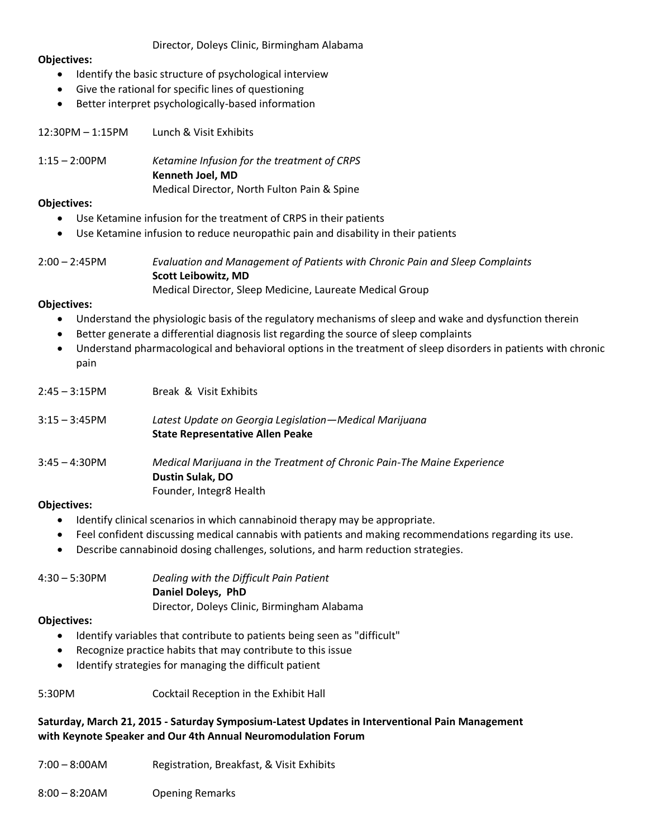## Director, Doleys Clinic, Birmingham Alabama

#### **Objectives:**

- Identify the basic structure of psychological interview
- Give the rational for specific lines of questioning
- Better interpret psychologically-based information

12:30PM – 1:15PM Lunch & Visit Exhibits

1:15 – 2:00PM *Ketamine Infusion for the treatment of CRPS* **Kenneth Joel, MD** Medical Director, North Fulton Pain & Spine

#### **Objectives:**

- Use Ketamine infusion for the treatment of CRPS in their patients
- Use Ketamine infusion to reduce neuropathic pain and disability in their patients
- 2:00 2:45PM *Evaluation and Management of Patients with Chronic Pain and Sleep Complaints* **Scott Leibowitz, MD** Medical Director, Sleep Medicine, Laureate Medical Group

## **Objectives:**

- Understand the physiologic basis of the regulatory mechanisms of sleep and wake and dysfunction therein
- Better generate a differential diagnosis list regarding the source of sleep complaints
- Understand pharmacological and behavioral options in the treatment of sleep disorders in patients with chronic pain

| $2:45 - 3:15$ PM | Break & Visit Exhibits                                                                                                 |
|------------------|------------------------------------------------------------------------------------------------------------------------|
| $3:15 - 3:45$ PM | Latest Update on Georgia Legislation—Medical Marijuana<br><b>State Representative Allen Peake</b>                      |
| $3:45 - 4:30$ PM | Medical Marijuana in the Treatment of Chronic Pain-The Maine Experience<br>Dustin Sulak, DO<br>Founder, Integr8 Health |

#### **Objectives:**

- Identify clinical scenarios in which cannabinoid therapy may be appropriate.
- Feel confident discussing medical cannabis with patients and making recommendations regarding its use.
- Describe cannabinoid dosing challenges, solutions, and harm reduction strategies.

4:30 – 5:30PM *Dealing with the Difficult Pain Patient* **Daniel Doleys, PhD**

Director, Doleys Clinic, Birmingham Alabama

#### **Objectives:**

- Identify variables that contribute to patients being seen as "difficult"
- Recognize practice habits that may contribute to this issue
- Identify strategies for managing the difficult patient
- 5:30PM Cocktail Reception in the Exhibit Hall

## **Saturday, March 21, 2015 - Saturday Symposium-Latest Updates in Interventional Pain Management with Keynote Speaker and Our 4th Annual Neuromodulation Forum**

- 7:00 8:00AM Registration, Breakfast, & Visit Exhibits
- 8:00 8:20AM Opening Remarks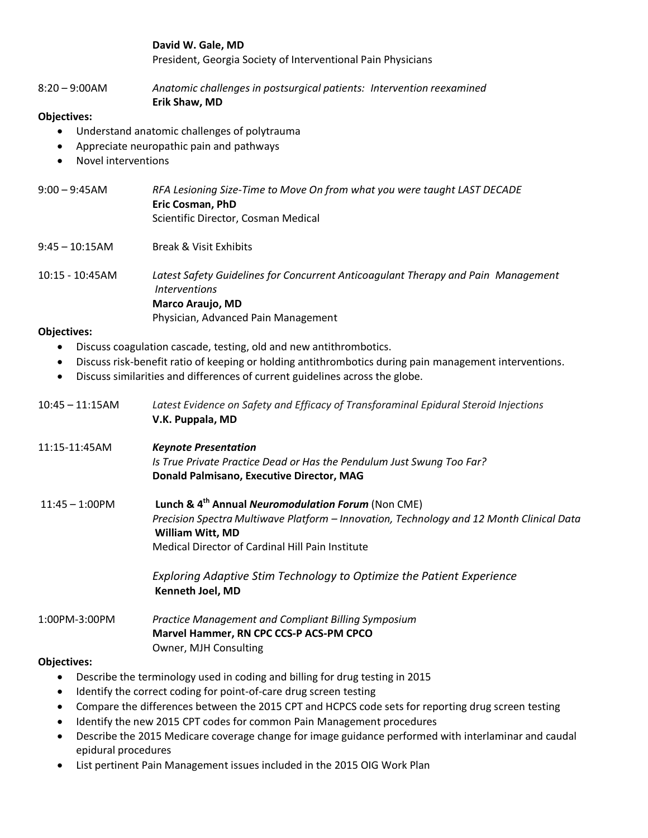**David W. Gale, MD** President, Georgia Society of Interventional Pain Physicians

8:20 – 9:00AM *Anatomic challenges in postsurgical patients: Intervention reexamined*

## **Erik Shaw, MD**

## **Objectives:**

- Understand anatomic challenges of polytrauma
- Appreciate neuropathic pain and pathways
- Novel interventions
- 9:00 9:45AM *RFA Lesioning Size-Time to Move On from what you were taught LAST DECADE* **Eric Cosman, PhD** Scientific Director, Cosman Medical
- 9:45 10:15AM Break & Visit Exhibits
- 10:15 10:45AM *Latest Safety Guidelines for Concurrent Anticoagulant Therapy and Pain Management Interventions* **Marco Araujo, MD** Physician, Advanced Pain Management

## **Objectives:**

- Discuss coagulation cascade, testing, old and new antithrombotics.
- Discuss risk-benefit ratio of keeping or holding antithrombotics during pain management interventions.
- Discuss similarities and differences of current guidelines across the globe.

| $10:45 - 11:15AM$  | Latest Evidence on Safety and Efficacy of Transforaminal Epidural Steroid Injections<br>V.K. Puppala, MD                                                                                                                                  |
|--------------------|-------------------------------------------------------------------------------------------------------------------------------------------------------------------------------------------------------------------------------------------|
| 11:15-11:45AM      | <b>Keynote Presentation</b><br>Is True Private Practice Dead or Has the Pendulum Just Swung Too Far?<br>Donald Palmisano, Executive Director, MAG                                                                                         |
| $11:45 - 1:00$ PM  | Lunch & 4 <sup>th</sup> Annual Neuromodulation Forum (Non CME)<br>Precision Spectra Multiwave Platform - Innovation, Technology and 12 Month Clinical Data<br><b>William Witt, MD</b><br>Medical Director of Cardinal Hill Pain Institute |
|                    | Exploring Adaptive Stim Technology to Optimize the Patient Experience<br><b>Kenneth Joel, MD</b>                                                                                                                                          |
| 1:00PM-3:00PM      | <b>Practice Management and Compliant Billing Symposium</b><br>Marvel Hammer, RN CPC CCS-P ACS-PM CPCO<br>Owner, MJH Consulting                                                                                                            |
| <b>Objectives:</b> |                                                                                                                                                                                                                                           |
|                    | Describe the terminology used in coding and billing for drug testing in 2015                                                                                                                                                              |

- Identify the correct coding for point-of-care drug screen testing
- Compare the differences between the 2015 CPT and HCPCS code sets for reporting drug screen testing
- Identify the new 2015 CPT codes for common Pain Management procedures
- Describe the 2015 Medicare coverage change for image guidance performed with interlaminar and caudal epidural procedures
- List pertinent Pain Management issues included in the 2015 OIG Work Plan